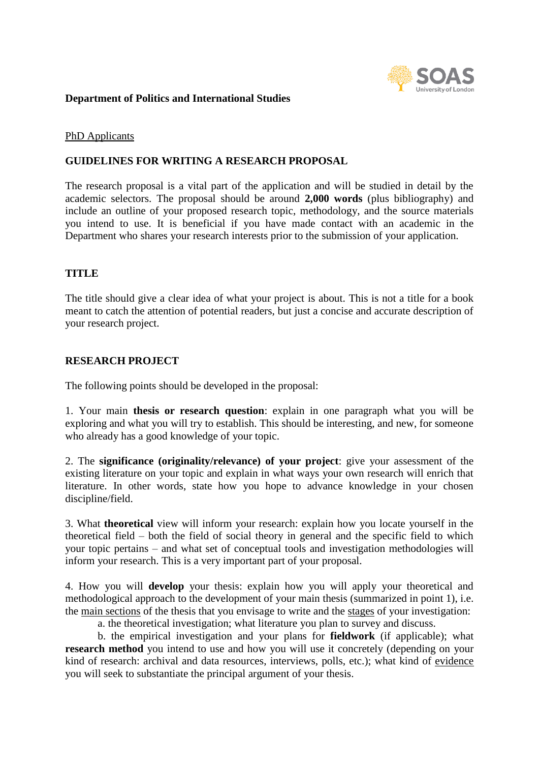

# **Department of Politics and International Studies**

### PhD Applicants

# **GUIDELINES FOR WRITING A RESEARCH PROPOSAL**

The research proposal is a vital part of the application and will be studied in detail by the academic selectors. The proposal should be around **2,000 words** (plus bibliography) and include an outline of your proposed research topic, methodology, and the source materials you intend to use. It is beneficial if you have made contact with an academic in the Department who shares your research interests prior to the submission of your application.

# **TITLE**

The title should give a clear idea of what your project is about. This is not a title for a book meant to catch the attention of potential readers, but just a concise and accurate description of your research project.

# **RESEARCH PROJECT**

The following points should be developed in the proposal:

1. Your main **thesis or research question**: explain in one paragraph what you will be exploring and what you will try to establish. This should be interesting, and new, for someone who already has a good knowledge of your topic.

2. The **significance (originality/relevance) of your project**: give your assessment of the existing literature on your topic and explain in what ways your own research will enrich that literature. In other words, state how you hope to advance knowledge in your chosen discipline/field.

3. What **theoretical** view will inform your research: explain how you locate yourself in the theoretical field – both the field of social theory in general and the specific field to which your topic pertains – and what set of conceptual tools and investigation methodologies will inform your research. This is a very important part of your proposal.

4. How you will **develop** your thesis: explain how you will apply your theoretical and methodological approach to the development of your main thesis (summarized in point 1), i.e. the main sections of the thesis that you envisage to write and the stages of your investigation:

a. the theoretical investigation; what literature you plan to survey and discuss.

b. the empirical investigation and your plans for **fieldwork** (if applicable); what **research method** you intend to use and how you will use it concretely (depending on your kind of research: archival and data resources, interviews, polls, etc.); what kind of evidence you will seek to substantiate the principal argument of your thesis.